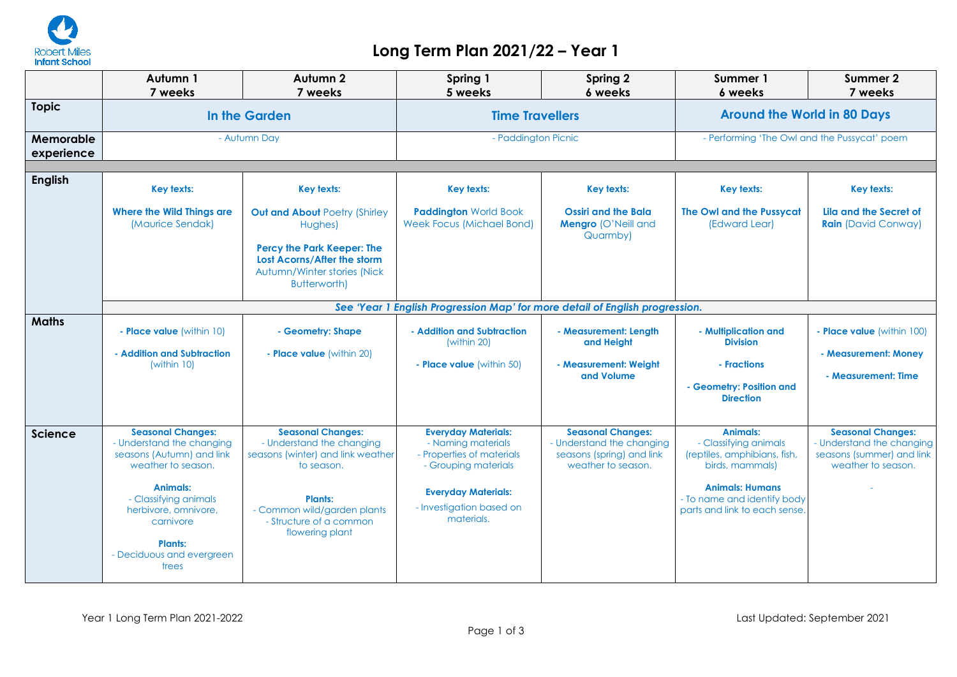

## **Long Term Plan 2021/22 – Year 1**

|                         | Autumn 1<br>7 weeks                                                                                                                                                                                                                        | Autumn 2<br>7 weeks                                                                                                                                                                                     | Spring 1<br>5 weeks                                                                                                                                                           | <b>Spring 2</b><br>6 weeks                                                                               | Summer 1<br>6 weeks                                                                                                                                                            | Summer 2<br>7 weeks                                                                                      |  |
|-------------------------|--------------------------------------------------------------------------------------------------------------------------------------------------------------------------------------------------------------------------------------------|---------------------------------------------------------------------------------------------------------------------------------------------------------------------------------------------------------|-------------------------------------------------------------------------------------------------------------------------------------------------------------------------------|----------------------------------------------------------------------------------------------------------|--------------------------------------------------------------------------------------------------------------------------------------------------------------------------------|----------------------------------------------------------------------------------------------------------|--|
| <b>Topic</b>            | In the Garden                                                                                                                                                                                                                              |                                                                                                                                                                                                         | <b>Time Travellers</b>                                                                                                                                                        |                                                                                                          | <b>Around the World in 80 Days</b>                                                                                                                                             |                                                                                                          |  |
| Memorable<br>experience | - Autumn Day                                                                                                                                                                                                                               |                                                                                                                                                                                                         | - Paddington Picnic                                                                                                                                                           |                                                                                                          | - Performing 'The Owl and the Pussycat' poem                                                                                                                                   |                                                                                                          |  |
| <b>English</b>          | <b>Key texts:</b>                                                                                                                                                                                                                          | Key texts:                                                                                                                                                                                              | Key texts:                                                                                                                                                                    | <b>Key texts:</b>                                                                                        | <b>Key texts:</b>                                                                                                                                                              | <b>Key texts:</b>                                                                                        |  |
|                         | <b>Where the Wild Things are</b><br>(Maurice Sendak)                                                                                                                                                                                       | <b>Out and About Poetry (Shirley</b><br>Hughes)<br>Percy the Park Keeper: The<br>Lost Acorns/After the storm<br>Autumn/Winter stories (Nick<br><b>Butterworth)</b>                                      | <b>Paddington World Book</b><br><b>Week Focus (Michael Bond)</b>                                                                                                              | <b>Ossiri and the Bala</b><br>Mengro (O'Neill and<br>Quarmby)                                            | The Owl and the Pussycat<br>(Edward Lear)                                                                                                                                      | Lila and the Secret of<br><b>Rain</b> (David Conway)                                                     |  |
|                         | See 'Year 1 English Progression Map' for more detail of English progression.                                                                                                                                                               |                                                                                                                                                                                                         |                                                                                                                                                                               |                                                                                                          |                                                                                                                                                                                |                                                                                                          |  |
| <b>Maths</b>            | - Place value (within 10)<br>- Addition and Subtraction<br>(within 10)                                                                                                                                                                     | - Geometry: Shape<br>- Place value (within 20)                                                                                                                                                          | - Addition and Subtraction<br>(within 20)<br>- Place value (within 50)                                                                                                        | - Measurement: Length<br>and Height<br>- Measurement: Weiaht<br>and Volume                               | - Multiplication and<br><b>Division</b><br>- Fractions<br>- Geometry: Position and<br><b>Direction</b>                                                                         | - Place value (within 100)<br>- Measurement: Money<br>- Measurement: Time                                |  |
| <b>Science</b>          | <b>Seasonal Changes:</b><br>- Understand the changing<br>seasons (Autumn) and link<br>weather to season.<br>Animals:<br>- Classifying animals<br>herbivore, omnivore,<br>carnivore<br><b>Plants:</b><br>- Deciduous and evergreen<br>trees | <b>Seasonal Changes:</b><br>- Understand the changing<br>seasons (winter) and link weather<br>to season.<br><b>Plants:</b><br>- Common wild/garden plants<br>- Structure of a common<br>flowering plant | <b>Everyday Materials:</b><br>- Naming materials<br>- Properties of materials<br>- Grouping materials<br><b>Everyday Materials:</b><br>- Investigation based on<br>materials. | <b>Seasonal Changes:</b><br>- Understand the changing<br>seasons (spring) and link<br>weather to season. | Animals:<br>- Classifying animals<br>(reptiles, amphibians, fish,<br>birds, mammals)<br><b>Animals: Humans</b><br>- To name and identify body<br>parts and link to each sense. | <b>Seasonal Changes:</b><br>- Understand the changing<br>seasons (summer) and link<br>weather to season. |  |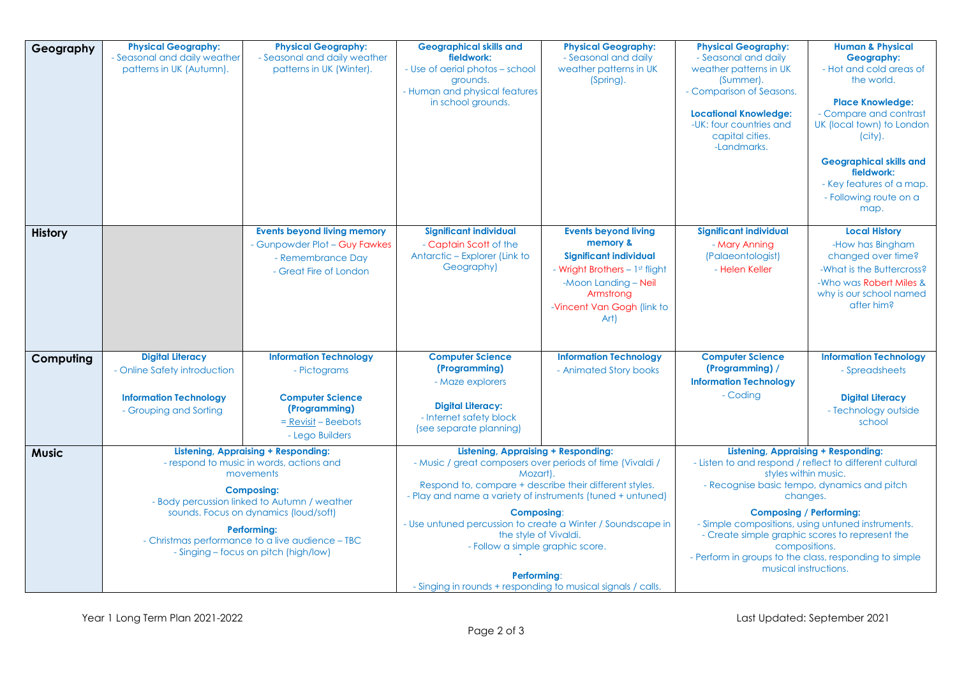| Geography      | <b>Physical Geography:</b><br>- Seasonal and daily weather<br>patterns in UK (Autumn).                                                                                                                                                                                                                                        | <b>Physical Geography:</b><br>- Seasonal and daily weather<br>patterns in UK (Winter).                                                | <b>Geographical skills and</b><br>fieldwork:<br>- Use of aerial photos - school<br>grounds.<br>- Human and physical features<br>in school grounds.                                                                                                                                                                                                                                                                                                                          | <b>Physical Geography:</b><br>- Seasonal and daily<br>weather patterns in UK<br>(Spring).                                                                                             | <b>Physical Geography:</b><br>- Seasonal and daily<br>weather patterns in UK<br>(Summer).<br>- Comparison of Seasons.<br><b>Locational Knowledge:</b><br>-UK: four countries and<br>capital cities.<br>-Landmarks.                                                                                                                                                                                                                     | <b>Human &amp; Physical</b><br>Geography:<br>- Hot and cold areas of<br>the world.<br><b>Place Knowledge:</b><br>- Compare and contrast<br>UK (local town) to London<br>$(city)$ .<br><b>Geographical skills and</b><br>fieldwork:<br>- Key features of a map.<br>- Following route on a<br>map. |
|----------------|-------------------------------------------------------------------------------------------------------------------------------------------------------------------------------------------------------------------------------------------------------------------------------------------------------------------------------|---------------------------------------------------------------------------------------------------------------------------------------|-----------------------------------------------------------------------------------------------------------------------------------------------------------------------------------------------------------------------------------------------------------------------------------------------------------------------------------------------------------------------------------------------------------------------------------------------------------------------------|---------------------------------------------------------------------------------------------------------------------------------------------------------------------------------------|----------------------------------------------------------------------------------------------------------------------------------------------------------------------------------------------------------------------------------------------------------------------------------------------------------------------------------------------------------------------------------------------------------------------------------------|--------------------------------------------------------------------------------------------------------------------------------------------------------------------------------------------------------------------------------------------------------------------------------------------------|
| <b>History</b> |                                                                                                                                                                                                                                                                                                                               | <b>Events beyond living memory</b><br>- Gunpowder Plot - Guy Fawkes<br>- Remembrance Day<br>- Great Fire of London                    | <b>Significant individual</b><br>- Captain Scott of the<br>Antarctic - Explorer (Link to<br>Geography)                                                                                                                                                                                                                                                                                                                                                                      | <b>Events beyond living</b><br>memory &<br><b>Significant individual</b><br>- Wright Brothers - 1st flight<br>-Moon Landing - Neil<br>Armstrong<br>-Vincent Van Gogh (link to<br>Art) | <b>Significant individual</b><br>- Mary Anning<br>(Palaeontologist)<br>- Helen Keller                                                                                                                                                                                                                                                                                                                                                  | <b>Local History</b><br>-How has Bingham<br>changed over time?<br>-What is the Buttercross?<br>-Who was Robert Miles &<br>why is our school named<br>after him?                                                                                                                                  |
| Computing      | <b>Digital Literacy</b><br>- Online Safety introduction<br><b>Information Technology</b><br>- Grouping and Sorting                                                                                                                                                                                                            | <b>Information Technology</b><br>- Pictograms<br><b>Computer Science</b><br>(Programming)<br>$=$ Revisit – Beebots<br>- Lego Builders | <b>Computer Science</b><br>(Programming)<br>- Maze explorers<br><b>Digital Literacy:</b><br>- Internet safety block<br>(see separate planning)                                                                                                                                                                                                                                                                                                                              | <b>Information Technology</b><br>- Animated Story books                                                                                                                               | <b>Computer Science</b><br>(Programming) /<br><b>Information Technology</b><br>- Coding                                                                                                                                                                                                                                                                                                                                                | <b>Information Technology</b><br>- Spreadsheets<br><b>Digital Literacy</b><br>- Technology outside<br>school                                                                                                                                                                                     |
| <b>Music</b>   | <b>Listening, Appraising + Responding:</b><br>- respond to music in words, actions and<br>movements<br><b>Composing:</b><br>- Body percussion linked to Autumn / weather<br>sounds. Focus on dynamics (loud/soft)<br>Performing:<br>- Christmas performance to a live audience - TBC<br>- Singing - focus on pitch (high/low) |                                                                                                                                       | <b>Listening, Appraising + Responding:</b><br>- Music / great composers over periods of time (Vivaldi /<br>Mozart).<br>Respond to, compare + describe their different styles.<br>- Play and name a variety of instruments (tuned + untuned)<br><b>Composing:</b><br>- Use untuned percussion to create a Winter / Soundscape in<br>the style of Vivaldi.<br>- Follow a simple graphic score.<br>Performing:<br>- Singing in rounds + responding to musical signals / calls. |                                                                                                                                                                                       | <b>Listening, Appraising + Responding:</b><br>- Listen to and respond / reflect to different cultural<br>styles within music.<br>- Recognise basic tempo, dynamics and pitch<br>changes.<br><b>Composing / Performing:</b><br>- Simple compositions, using untuned instruments.<br>- Create simple graphic scores to represent the<br>compositions.<br>- Perform in groups to the class, responding to simple<br>musical instructions. |                                                                                                                                                                                                                                                                                                  |